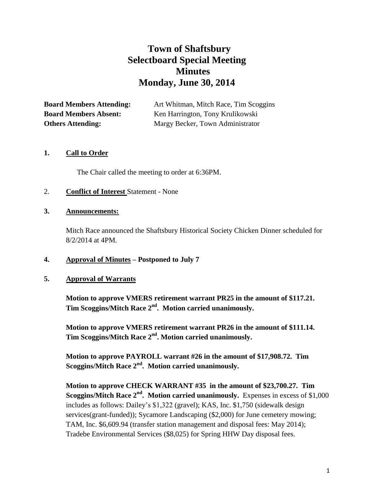# **Town of Shaftsbury Selectboard Special Meeting Minutes Monday, June 30, 2014**

**Board Members Attending:** Art Whitman, Mitch Race, Tim Scoggins **Board Members Absent:** Ken Harrington, Tony Krulikowski **Others Attending:** Margy Becker, Town Administrator

## **1. Call to Order**

The Chair called the meeting to order at 6:36PM.

## 2. **Conflict of Interest** Statement - None

#### **3. Announcements:**

Mitch Race announced the Shaftsbury Historical Society Chicken Dinner scheduled for 8/2/2014 at 4PM.

## **4. Approval of Minutes – Postponed to July 7**

## **5. Approval of Warrants**

**Motion to approve VMERS retirement warrant PR25 in the amount of \$117.21. Tim Scoggins/Mitch Race 2nd. Motion carried unanimously.**

**Motion to approve VMERS retirement warrant PR26 in the amount of \$111.14. Tim Scoggins/Mitch Race 2nd. Motion carried unanimously.**

**Motion to approve PAYROLL warrant #26 in the amount of \$17,908.72. Tim Scoggins/Mitch Race 2nd. Motion carried unanimously.**

**Motion to approve CHECK WARRANT #35 in the amount of \$23,700.27. Tim Scoggins/Mitch Race 2nd. Motion carried unanimously.** Expenses in excess of \$1,000 includes as follows: Dailey's \$1,322 (gravel); KAS, Inc. \$1,750 (sidewalk design services(grant-funded)); Sycamore Landscaping (\$2,000) for June cemetery mowing; TAM, Inc. \$6,609.94 (transfer station management and disposal fees: May 2014); Tradebe Environmental Services (\$8,025) for Spring HHW Day disposal fees.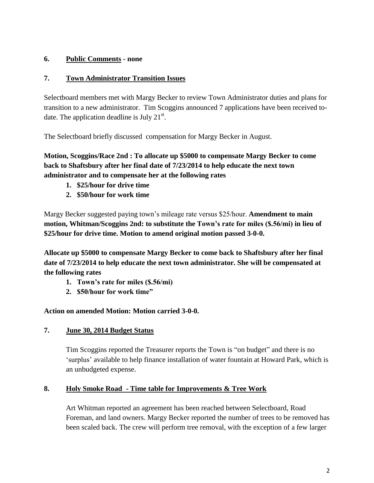# **6. Public Comments - none**

## **7. Town Administrator Transition Issues**

Selectboard members met with Margy Becker to review Town Administrator duties and plans for transition to a new administrator. Tim Scoggins announced 7 applications have been received todate. The application deadline is July  $21^{st}$ .

The Selectboard briefly discussed compensation for Margy Becker in August.

**Motion, Scoggins/Race 2nd : To allocate up \$5000 to compensate Margy Becker to come back to Shaftsbury after her final date of 7/23/2014 to help educate the next town administrator and to compensate her at the following rates**

- **1. \$25/hour for drive time**
- **2. \$50/hour for work time**

Margy Becker suggested paying town's mileage rate versus \$25/hour. **Amendment to main motion, Whitman/Scoggins 2nd: to substitute the Town's rate for miles (\$.56/mi) in lieu of \$25/hour for drive time. Motion to amend original motion passed 3-0-0.**

**Allocate up \$5000 to compensate Margy Becker to come back to Shaftsbury after her final date of 7/23/2014 to help educate the next town administrator. She will be compensated at the following rates**

- **1. Town's rate for miles (\$.56/mi)**
- **2. \$50/hour for work time"**

**Action on amended Motion: Motion carried 3-0-0.**

## **7. June 30, 2014 Budget Status**

Tim Scoggins reported the Treasurer reports the Town is "on budget" and there is no 'surplus' available to help finance installation of water fountain at Howard Park, which is an unbudgeted expense.

## **8. Holy Smoke Road - Time table for Improvements & Tree Work**

Art Whitman reported an agreement has been reached between Selectboard, Road Foreman, and land owners. Margy Becker reported the number of trees to be removed has been scaled back. The crew will perform tree removal, with the exception of a few larger